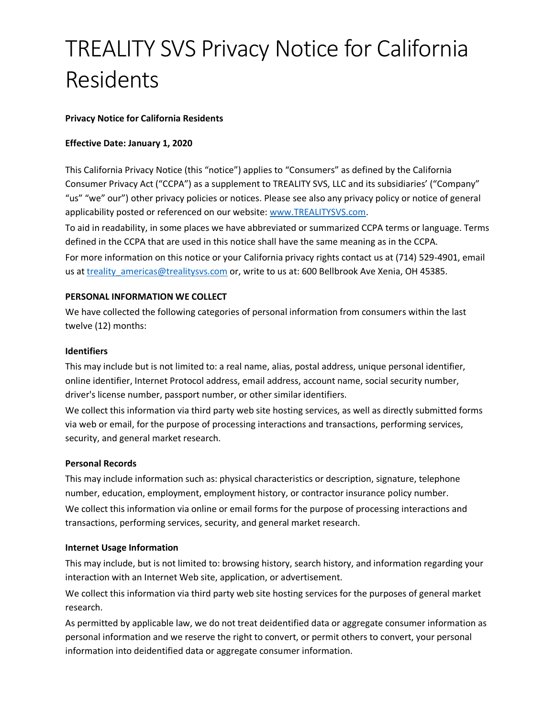# TREALITY SVS Privacy Notice for California Residents

## **Privacy Notice for California Residents**

## **Effective Date: January 1, 2020**

This California Privacy Notice (this "notice") applies to "Consumers" as defined by the California Consumer Privacy Act ("CCPA") as a supplement to TREALITY SVS, LLC and its subsidiaries' ("Company" "us" "we" our") other privacy policies or notices. Please see also any privacy policy or notice of general applicability posted or referenced on our website: [www.TREALITYSVS.com.](http://www.trealitysvs.com/)

To aid in readability, in some places we have abbreviated or summarized CCPA terms or language. Terms defined in the CCPA that are used in this notice shall have the same meaning as in the CCPA. For more information on this notice or your California privacy rights contact us at (714) 529-4901, email us at treality americas@trealitysvs.com or, write to us at: 600 Bellbrook Ave Xenia, OH 45385.

## **PERSONAL INFORMATION WE COLLECT**

We have collected the following categories of personal information from consumers within the last twelve (12) months:

#### **Identifiers**

This may include but is not limited to: a real name, alias, postal address, unique personal identifier, online identifier, Internet Protocol address, email address, account name, social security number, driver's license number, passport number, or other similar identifiers.

We collect this information via third party web site hosting services, as well as directly submitted forms via web or email, for the purpose of processing interactions and transactions, performing services, security, and general market research.

#### **Personal Records**

This may include information such as: physical characteristics or description, signature, telephone number, education, employment, employment history, or contractor insurance policy number. We collect this information via online or email forms for the purpose of processing interactions and transactions, performing services, security, and general market research.

#### **Internet Usage Information**

This may include, but is not limited to: browsing history, search history, and information regarding your interaction with an Internet Web site, application, or advertisement.

We collect this information via third party web site hosting services for the purposes of general market research.

As permitted by applicable law, we do not treat deidentified data or aggregate consumer information as personal information and we reserve the right to convert, or permit others to convert, your personal information into deidentified data or aggregate consumer information.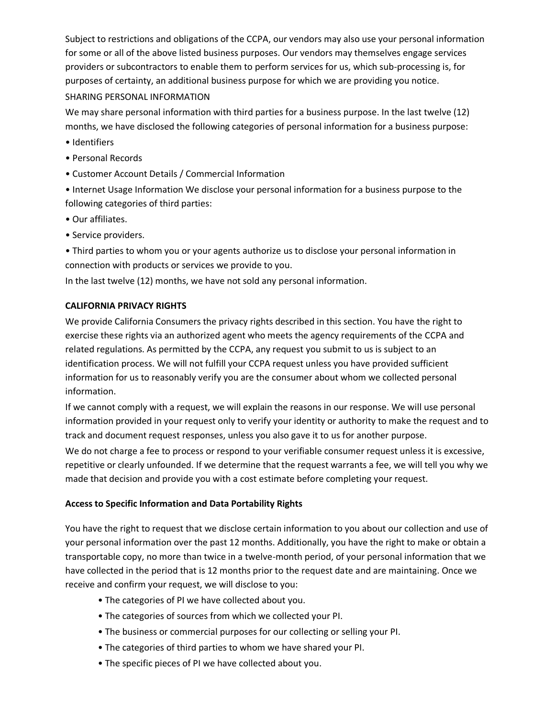Subject to restrictions and obligations of the CCPA, our vendors may also use your personal information for some or all of the above listed business purposes. Our vendors may themselves engage services providers or subcontractors to enable them to perform services for us, which sub-processing is, for purposes of certainty, an additional business purpose for which we are providing you notice. SHARING PERSONAL INFORMATION

We may share personal information with third parties for a business purpose. In the last twelve (12) months, we have disclosed the following categories of personal information for a business purpose:

- Identifiers
- Personal Records
- Customer Account Details / Commercial Information
- Internet Usage Information We disclose your personal information for a business purpose to the following categories of third parties:
- Our affiliates.
- Service providers.

• Third parties to whom you or your agents authorize us to disclose your personal information in connection with products or services we provide to you.

In the last twelve (12) months, we have not sold any personal information.

#### **CALIFORNIA PRIVACY RIGHTS**

We provide California Consumers the privacy rights described in this section. You have the right to exercise these rights via an authorized agent who meets the agency requirements of the CCPA and related regulations. As permitted by the CCPA, any request you submit to us is subject to an identification process. We will not fulfill your CCPA request unless you have provided sufficient information for us to reasonably verify you are the consumer about whom we collected personal information.

If we cannot comply with a request, we will explain the reasons in our response. We will use personal information provided in your request only to verify your identity or authority to make the request and to track and document request responses, unless you also gave it to us for another purpose.

We do not charge a fee to process or respond to your verifiable consumer request unless it is excessive, repetitive or clearly unfounded. If we determine that the request warrants a fee, we will tell you why we made that decision and provide you with a cost estimate before completing your request.

#### **Access to Specific Information and Data Portability Rights**

You have the right to request that we disclose certain information to you about our collection and use of your personal information over the past 12 months. Additionally, you have the right to make or obtain a transportable copy, no more than twice in a twelve-month period, of your personal information that we have collected in the period that is 12 months prior to the request date and are maintaining. Once we receive and confirm your request, we will disclose to you:

- The categories of PI we have collected about you.
- The categories of sources from which we collected your PI.
- The business or commercial purposes for our collecting or selling your PI.
- The categories of third parties to whom we have shared your PI.
- The specific pieces of PI we have collected about you.